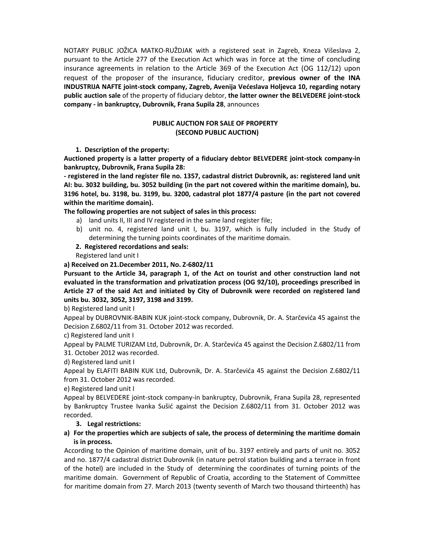NOTARY PUBLIC JOŽICA MATKO-RUŽDJAK with a registered seat in Zagreb, Kneza Višeslava 2, pursuant to the Article 277 of the Execution Act which was in force at the time of concluding insurance agreements in relation to the Article 369 of the Execution Act (OG 112/12) upon request of the proposer of the insurance, fiduciary creditor, **previous owner of the INA INDUSTRIJA NAFTE joint-stock company, Zagreb, Avenija Većeslava Holjevca 10, regarding notary public auction sale** of the property of fiduciary debtor, **the latter owner the BELVEDERE joint-stock company - in bankruptcy, Dubrovnik, Frana Supila 28**, announces

## **PUBLIC AUCTION FOR SALE OF PROPERTY (SECOND PUBLIC AUCTION)**

**1. Description of the property:**

**Auctioned property is a latter property of a fiduciary debtor BELVEDERE joint-stock company-in bankruptcy, Dubrovnik, Frana Supila 28:**

**- registered in the land register file no. 1357, cadastral district Dubrovnik, as: registered land unit AI: bu. 3032 building, bu. 3052 building (in the part not covered within the maritime domain), bu. 3196 hotel, bu. 3198, bu. 3199, bu. 3200, cadastral plot 1877/4 pasture (in the part not covered within the maritime domain).**

**The following properties are not subject of sales in this process:**

- a) land units II, III and IV registered in the same land register file;
- b) unit no. 4, registered land unit I, bu. 3197, which is fully included in the Study of determining the turning points coordinates of the maritime domain.
- **2. Registered recordations and seals:**

Registered land unit I

## **a) Received on 21.December 2011, No. Z-6802/11**

**Pursuant to the Article 34, paragraph 1, of the Act on tourist and other construction land not evaluated in the transformation and privatization process (OG 92/10), proceedings prescribed in Article 27 of the said Act and initiated by City of Dubrovnik were recorded on registered land units bu. 3032, 3052, 3197, 3198 and 3199.**

b) Registered land unit I

Appeal by DUBROVNIK-BABIN KUK joint-stock company, Dubrovnik, Dr. A. Starčevića 45 against the Decision Z.6802/11 from 31. October 2012 was recorded.

c) Registered land unit I

Appeal by PALME TURIZAM Ltd, Dubrovnik, Dr. A. Starčevića 45 against the Decision Z.6802/11 from 31. October 2012 was recorded.

d) Registered land unit I

Appeal by ELAFITI BABIN KUK Ltd, Dubrovnik, Dr. A. Starčevića 45 against the Decision Z.6802/11 from 31. October 2012 was recorded.

e) Registered land unit I

Appeal by BELVEDERE joint-stock company-in bankruptcy, Dubrovnik, Frana Supila 28, represented by Bankruptcy Trustee Ivanka Sušić against the Decision Z.6802/11 from 31. October 2012 was recorded.

# **3. Legal restrictions:**

## **a) For the properties which are subjects of sale, the process of determining the maritime domain is in process.**

According to the Opinion of maritime domain, unit of bu. 3197 entirely and parts of unit no. 3052 and no. 1877/4 cadastral district Dubrovnik (in nature petrol station building and a terrace in front of the hotel) are included in the Study of determining the coordinates of turning points of the maritime domain. Government of Republic of Croatia, according to the Statement of Committee for maritime domain from 27. March 2013 (twenty seventh of March two thousand thirteenth) has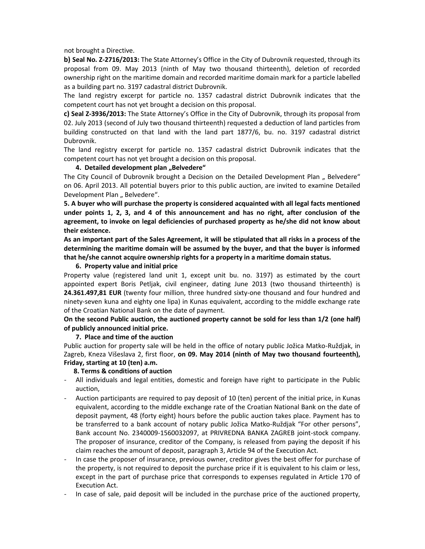not brought a Directive.

**b) Seal No. Z-2716/2013:** The State Attorney's Office in the City of Dubrovnik requested, through its proposal from 09. May 2013 (ninth of May two thousand thirteenth), deletion of recorded ownership right on the maritime domain and recorded maritime domain mark for a particle labelled as a building part no. 3197 cadastral district Dubrovnik.

The land registry excerpt for particle no. 1357 cadastral district Dubrovnik indicates that the competent court has not yet brought a decision on this proposal.

**c) Seal Z-3936/2013:** The State Attorney's Office in the City of Dubrovnik, through its proposal from 02. July 2013 (second of July two thousand thirteenth) requested a deduction of land particles from building constructed on that land with the land part 1877/6, bu. no. 3197 cadastral district Dubrovnik.

The land registry excerpt for particle no. 1357 cadastral district Dubrovnik indicates that the competent court has not yet brought a decision on this proposal.

#### **4. Detailed development plan "Belvedere"**

The City Council of Dubrovnik brought a Decision on the Detailed Development Plan " Belvedere" on 06. April 2013. All potential buyers prior to this public auction, are invited to examine Detailed Development Plan " Belvedere".

**5. A buyer who will purchase the property is considered acquainted with all legal facts mentioned under points 1, 2, 3, and 4 of this announcement and has no right, after conclusion of the agreement, to invoke on legal deficiencies of purchased property as he/she did not know about their existence.**

**As an important part of the Sales Agreement, it will be stipulated that all risks in a process of the determining the maritime domain will be assumed by the buyer, and that the buyer is informed that he/she cannot acquire ownership rights for a property in a maritime domain status.** 

#### **6. Property value and initial price**

Property value (registered land unit 1, except unit bu. no. 3197) as estimated by the court appointed expert Boris Petljak, civil engineer, dating June 2013 (two thousand thirteenth) is **24.361.497,81 EUR** (twenty four million, three hundred sixty-one thousand and four hundred and ninety-seven kuna and eighty one lipa) in Kunas equivalent, according to the middle exchange rate of the Croatian National Bank on the date of payment.

## **On the second Public auction, the auctioned property cannot be sold for less than 1/2 (one half) of publicly announced initial price.**

### **7. Place and time of the auction**

Public auction for property sale will be held in the office of notary public Jožica Matko-Ruždjak, in Zagreb, Kneza Višeslava 2, first floor, **on 09. May 2014 (ninth of May two thousand fourteenth), Friday, starting at 10 (ten) a.m.**

### **8. Terms & conditions of auction**

- All individuals and legal entities, domestic and foreign have right to participate in the Public auction,
- Auction participants are required to pay deposit of 10 (ten) percent of the initial price, in Kunas equivalent, according to the middle exchange rate of the Croatian National Bank on the date of deposit payment, 48 (forty eight) hours before the public auction takes place. Payment has to be transferred to a bank account of notary public Jožica Matko-Ruždjak "For other persons", Bank account No. 2340009-1560032097, at PRIVREDNA BANKA ZAGREB joint-stock company. The proposer of insurance, creditor of the Company, is released from paying the deposit if his claim reaches the amount of deposit, paragraph 3, Article 94 of the Execution Act.
- In case the proposer of insurance, previous owner, creditor gives the best offer for purchase of the property, is not required to deposit the purchase price if it is equivalent to his claim or less, except in the part of purchase price that corresponds to expenses regulated in Article 170 of Execution Act.
- In case of sale, paid deposit will be included in the purchase price of the auctioned property,